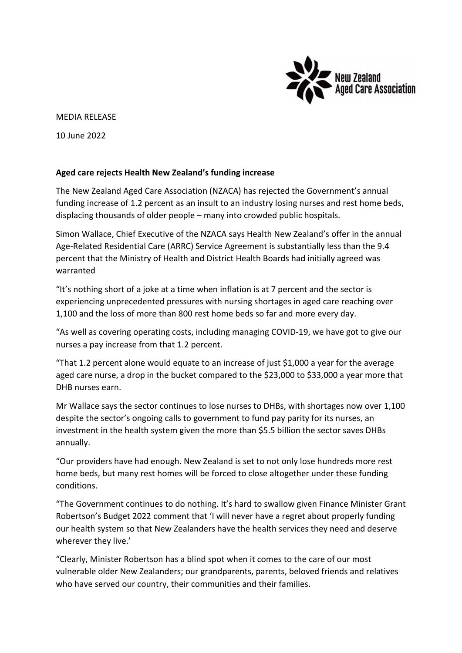

## MEDIA RELEASE

10 June 2022

## Aged care rejects Health New Zealand's funding increase

The New Zealand Aged Care Association (NZACA) has rejected the Government's annual funding increase of 1.2 percent as an insult to an industry losing nurses and rest home beds, displacing thousands of older people – many into crowded public hospitals.

Simon Wallace, Chief Executive of the NZACA says Health New Zealand's offer in the annual Age-Related Residential Care (ARRC) Service Agreement is substantially less than the 9.4 percent that the Ministry of Health and District Health Boards had initially agreed was warranted

"It's nothing short of a joke at a time when inflation is at 7 percent and the sector is experiencing unprecedented pressures with nursing shortages in aged care reaching over 1,100 and the loss of more than 800 rest home beds so far and more every day.

"As well as covering operating costs, including managing COVID-19, we have got to give our nurses a pay increase from that 1.2 percent.

"That 1.2 percent alone would equate to an increase of just \$1,000 a year for the average aged care nurse, a drop in the bucket compared to the \$23,000 to \$33,000 a year more that DHB nurses earn.

Mr Wallace says the sector continues to lose nurses to DHBs, with shortages now over 1,100 despite the sector's ongoing calls to government to fund pay parity for its nurses, an investment in the health system given the more than \$5.5 billion the sector saves DHBs annually.

"Our providers have had enough. New Zealand is set to not only lose hundreds more rest home beds, but many rest homes will be forced to close altogether under these funding conditions.

"The Government continues to do nothing. It's hard to swallow given Finance Minister Grant Robertson's Budget 2022 comment that 'I will never have a regret about properly funding our health system so that New Zealanders have the health services they need and deserve wherever they live.'

"Clearly, Minister Robertson has a blind spot when it comes to the care of our most vulnerable older New Zealanders; our grandparents, parents, beloved friends and relatives who have served our country, their communities and their families.